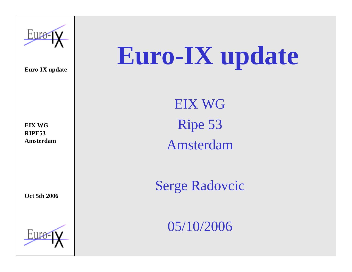

# **Euro-IX update**

**EIX WGRIPE53Amsterdam**

**Oct 5th 2006**



EIX WGRipe 53 Amsterdam

Serge Radovcic

05/10/2006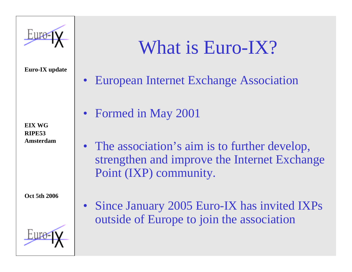

**EIX WGRIPE53Amsterdam**

**Oct 5th 2006**



### What is Euro-IX?

- •European Internet Exchange Association
- Formed in May 2001
- The association's aim is to further develop, strengthen and improve the Internet Exchange Point (IXP) community.
- Since January 2005 Euro-IX has invited IXPs outside of Europe to join the association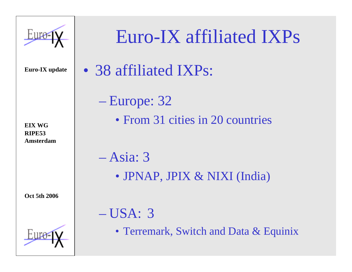

**EIX WGRIPE53Amsterdam**

**Oct 5th 2006**



### Euro-IX affiliated IXPs

• 38 affiliated IXPs:

 Europe: 32 • From 31 cities in 20 countries

– Asia: 3• JPNAP, JPIX & NIXI (India)

– USA: 3

• Terremark, Switch and Data & Equinix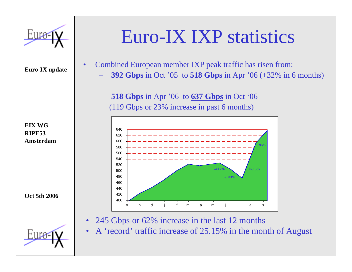

•

**EIX WGRIPE53Amsterdam**

**Oct 5th 2006**



### Euro-IX IXP statistics

- Combined European member IXP peak traffic has risen from:
	- **392 Gbps** in Oct '05 to **518 Gbps** in Apr '06 (+32% in 6 months)
	- **518 Gbps** in Apr '06 to **637 Gbps** in Oct '06 (119 Gbps or 23% increase in past 6 months)



- •245 Gbps or 62% increase in the last 12 months
- •A 'record' traffic increase of 25.15% in the month of August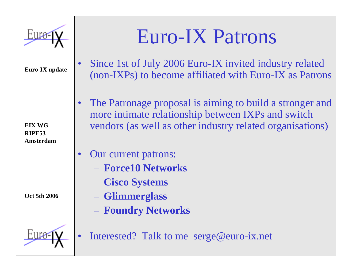

**EIX WGRIPE53Amsterdam**

**Oct 5th 2006**

### Euro-IX Patrons

- • Since 1st of July 2006 Euro-IX invited industry related (non-IXPs) to become affiliated with Euro-IX as Patrons
- • The Patronage proposal is aiming to build a stronger and more intimate relationship between IXPs and switch vendors (as well as other industry related organisations)
- • Our current patrons:
	- **Force10 Networks**
	- **Cisco Systems**
	- –**Glimmerglass**
	- $\mathcal{L}_{\mathcal{A}}$ **Foundry Networks**
- •Interested? Talk to me serge@euro-ix.net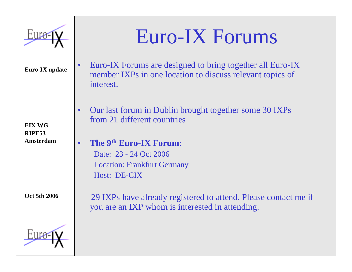

**EIX WGRIPE53Amsterdam**

**Oct 5th 2006**



- • Euro-IX Forums are designed to bring together all Euro-IX member IXPs in one location to discuss relevant topics of interest.
- • Our last forum in Dublin brought together some 30 IXPs from 21 different countries
- •**The 9th Euro-IX Forum**:

Date: 23 - 24 Oct 2006 Location: Frankfurt Germany Host: DE-CIX

29 IXPs have already registered to attend. Please contact me if you are an IXP whom is interested in attending.

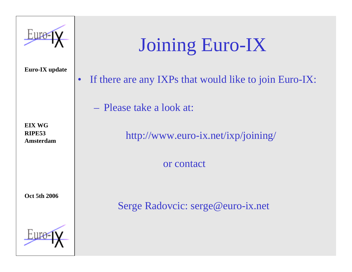

**EIX WGRIPE53Amsterdam**

**Oct 5th 2006**



### Joining Euro-IX

•If there are any IXPs that would like to join Euro-IX:

– Please take a look at:

http://www.euro-ix.net/ixp/joining/

or contact

Serge Radovcic: serge@euro-ix.net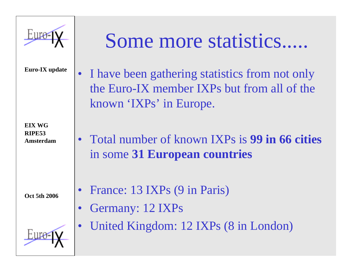

**EIX WGRIPE53Amsterdam**

**Oct 5th 2006**

## Some more statistics.....

• I have been gathering statistics from not only the Euro-IX member IXPs but from all of the known 'IXPs' in Europe.

• Total number of known IXPs is **99 in 66 cities**in some **31 European countries**

 $\bullet$ France: 13 IXPs (9 in Paris)

- •Germany: 12 IXPs
- $\bullet$ United Kingdom: 12 IXPs (8 in London)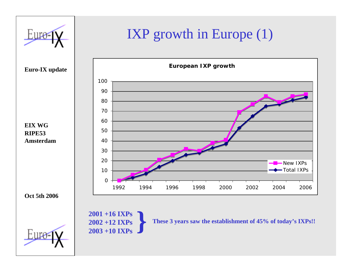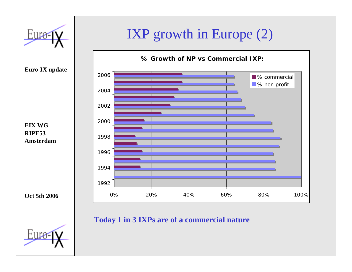

#### **Today 1 in 3 IXPs are of a commercial nature**

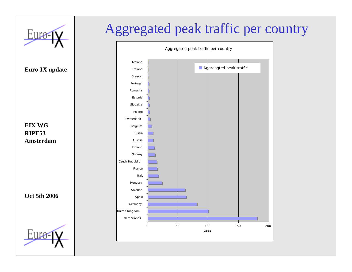

#### Aggregated peak traffic per country

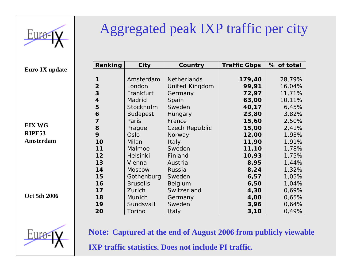

**EIX WGRIPE53Amsterdam**

**Oct 5th 2006**



#### Aggregated peak IXP traffic per city

| Ranking        | City            | Country        | <b>Traffic Gbps</b> | % of total |
|----------------|-----------------|----------------|---------------------|------------|
|                |                 |                |                     |            |
|                | Amsterdam       | Netherlands    | 179,40              | 28,79%     |
| $\overline{2}$ | London          | United Kingdom | 99,91               | 16,04%     |
| 3              | Frankfurt       | Germany        | 72,97               | 11,71%     |
| $\overline{4}$ | Madrid          | Spain          | 63,00               | 10,11%     |
| 5              | Stockholm       | Sweden         | 40,17               | 6,45%      |
| 6              | <b>Budapest</b> | Hungary        | 23,80               | 3,82%      |
| 7              | Paris           | France         | 15,60               | 2,50%      |
| 8              | Prague          | Czech Republic | 15,00               | 2,41%      |
| 9              | Oslo            | Norway         | 12,00               | 1,93%      |
| 10             | Milan           | Italy          | 11,90               | 1,91%      |
| 11             | Malmoe          | Sweden         | 11,10               | 1,78%      |
| 12             | Helsinki        | Finland        | 10,93               | 1,75%      |
| 13             | Vienna          | Austria        | 8,95                | 1,44%      |
| 14             | <b>Moscow</b>   | Russia         | 8,24                | 1,32%      |
| 15             | Gothenburg      | Sweden         | 6,57                | 1,05%      |
| 16             | <b>Brusells</b> | Belgium        | 6,50                | 1,04%      |
| 17             | Zurich          | Switzerland    | 4,30                | 0,69%      |
| 18             | Munich          | Germany        | 4,00                | 0,65%      |
| 19             | Sundsvall       | Sweden         | 3,96                | 0,64%      |
| 20             | Torino          | Italy          | 3,10                | 0,49%      |

**Note: Captured at the end of August 2006 from publicly viewable IXP traffic statistics. Does not include PI traffic.**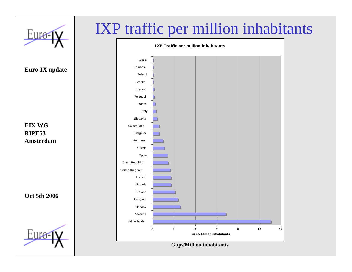

#### IXP traffic per million inhabitants



**Gbps/Million inhabitants**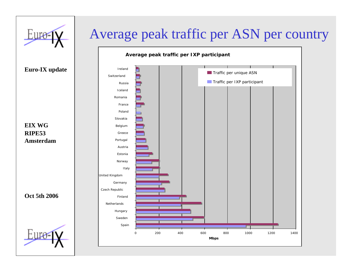

#### Average peak traffic per ASN per country



**Euro-IX update**

**EIX WGRIPE53Amsterdam**

**Oct 5th 2006**

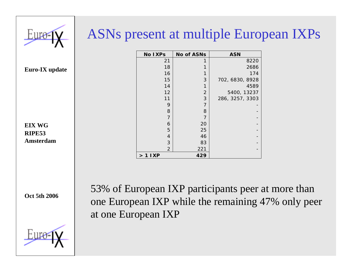

#### ASNs present at multiple European IXPs

| <b>No IXPs</b>         | <b>No of ASNs</b>         | <b>ASN</b>      |
|------------------------|---------------------------|-----------------|
| 21                     |                           | 8220            |
| 18                     | 1                         | 2686            |
| 16                     | 1                         | 174             |
| 15                     | 3                         | 702, 6830, 8928 |
| 14                     | 1                         | 4589            |
| 12                     | $\overline{2}$            | 5400, 13237     |
| 11                     | $\ensuremath{\mathsf{3}}$ | 286, 3257, 3303 |
| 9                      | $\overline{7}$            |                 |
| 8                      | 8                         |                 |
| 7                      | 7                         |                 |
| 6                      | 20                        |                 |
| 5                      | 25                        |                 |
| 4                      | 46                        |                 |
| 3                      | 83                        |                 |
| $\overline{2}$         | 221                       |                 |
| I XP<br>$\overline{1}$ | 429                       |                 |

**Euro-IX update**

**EIX WGRIPE53Amsterdam**

**Oct 5th 2006**



53% of European IXP participants peer at more than one European IXP while the remaining 47% only peer at one European IXP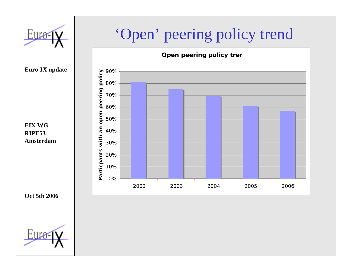

#### 'Open' peering policy trend



**Euro-IX update**

**EIX WGRIPE53Amsterdam**

**Oct 5th 2006**

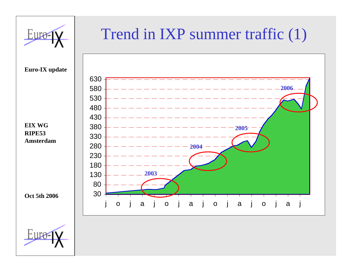

#### Trend in IXP summer traffic (1)



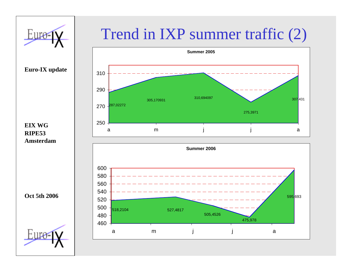

#### Trend in IXP summer traffic (2)



**EIX WGRIPE53Amsterdam**

**Oct 5th 2006**